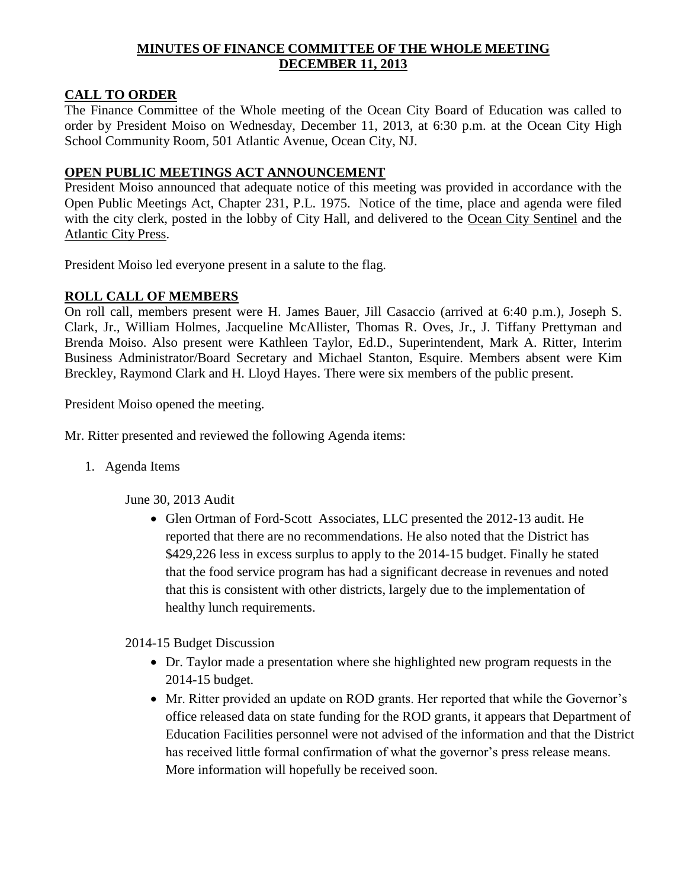## **MINUTES OF FINANCE COMMITTEE OF THE WHOLE MEETING DECEMBER 11, 2013**

## **CALL TO ORDER**

The Finance Committee of the Whole meeting of the Ocean City Board of Education was called to order by President Moiso on Wednesday, December 11, 2013, at 6:30 p.m. at the Ocean City High School Community Room, 501 Atlantic Avenue, Ocean City, NJ.

## **OPEN PUBLIC MEETINGS ACT ANNOUNCEMENT**

President Moiso announced that adequate notice of this meeting was provided in accordance with the Open Public Meetings Act, Chapter 231, P.L. 1975. Notice of the time, place and agenda were filed with the city clerk, posted in the lobby of City Hall, and delivered to the Ocean City Sentinel and the Atlantic City Press.

President Moiso led everyone present in a salute to the flag.

# **ROLL CALL OF MEMBERS**

On roll call, members present were H. James Bauer, Jill Casaccio (arrived at 6:40 p.m.), Joseph S. Clark, Jr., William Holmes, Jacqueline McAllister, Thomas R. Oves, Jr., J. Tiffany Prettyman and Brenda Moiso. Also present were Kathleen Taylor, Ed.D., Superintendent, Mark A. Ritter, Interim Business Administrator/Board Secretary and Michael Stanton, Esquire. Members absent were Kim Breckley, Raymond Clark and H. Lloyd Hayes. There were six members of the public present.

President Moiso opened the meeting.

Mr. Ritter presented and reviewed the following Agenda items:

1. Agenda Items

June 30, 2013 Audit

• Glen Ortman of Ford-Scott Associates, LLC presented the 2012-13 audit. He reported that there are no recommendations. He also noted that the District has \$429,226 less in excess surplus to apply to the 2014-15 budget. Finally he stated that the food service program has had a significant decrease in revenues and noted that this is consistent with other districts, largely due to the implementation of healthy lunch requirements.

2014-15 Budget Discussion

- Dr. Taylor made a presentation where she highlighted new program requests in the 2014-15 budget.
- Mr. Ritter provided an update on ROD grants. Her reported that while the Governor's office released data on state funding for the ROD grants, it appears that Department of Education Facilities personnel were not advised of the information and that the District has received little formal confirmation of what the governor's press release means. More information will hopefully be received soon.